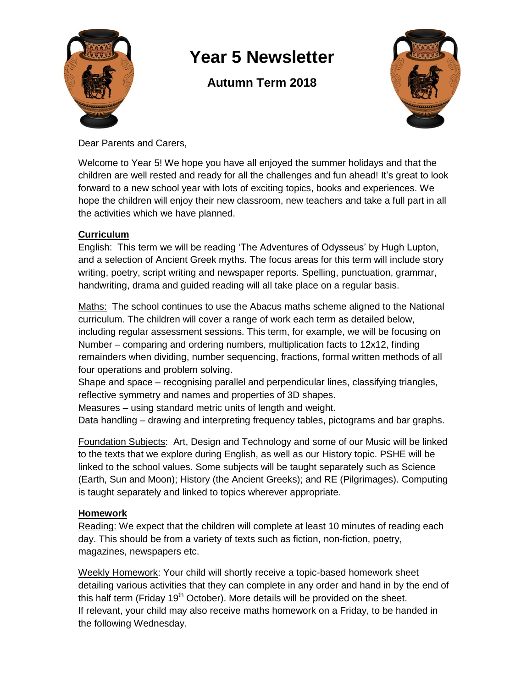

# **Year 5 Newsletter**

## **Autumn Term 2018**



Dear Parents and Carers,

Welcome to Year 5! We hope you have all enjoyed the summer holidays and that the children are well rested and ready for all the challenges and fun ahead! It's great to look forward to a new school year with lots of exciting topics, books and experiences. We hope the children will enjoy their new classroom, new teachers and take a full part in all the activities which we have planned.

#### **Curriculum**

English: This term we will be reading 'The Adventures of Odysseus' by Hugh Lupton, and a selection of Ancient Greek myths. The focus areas for this term will include story writing, poetry, script writing and newspaper reports. Spelling, punctuation, grammar, handwriting, drama and guided reading will all take place on a regular basis.

Maths: The school continues to use the Abacus maths scheme aligned to the National curriculum. The children will cover a range of work each term as detailed below, including regular assessment sessions. This term, for example, we will be focusing on Number – comparing and ordering numbers, multiplication facts to 12x12, finding remainders when dividing, number sequencing, fractions, formal written methods of all four operations and problem solving.

Shape and space – recognising parallel and perpendicular lines, classifying triangles, reflective symmetry and names and properties of 3D shapes.

Measures – using standard metric units of length and weight.

Data handling – drawing and interpreting frequency tables, pictograms and bar graphs.

Foundation Subjects: Art, Design and Technology and some of our Music will be linked to the texts that we explore during English, as well as our History topic. PSHE will be linked to the school values. Some subjects will be taught separately such as Science (Earth, Sun and Moon); History (the Ancient Greeks); and RE (Pilgrimages). Computing is taught separately and linked to topics wherever appropriate.

#### **Homework**

Reading: We expect that the children will complete at least 10 minutes of reading each day. This should be from a variety of texts such as fiction, non-fiction, poetry, magazines, newspapers etc.

Weekly Homework: Your child will shortly receive a topic-based homework sheet detailing various activities that they can complete in any order and hand in by the end of this half term (Friday  $19<sup>th</sup>$  October). More details will be provided on the sheet. If relevant, your child may also receive maths homework on a Friday, to be handed in the following Wednesday.